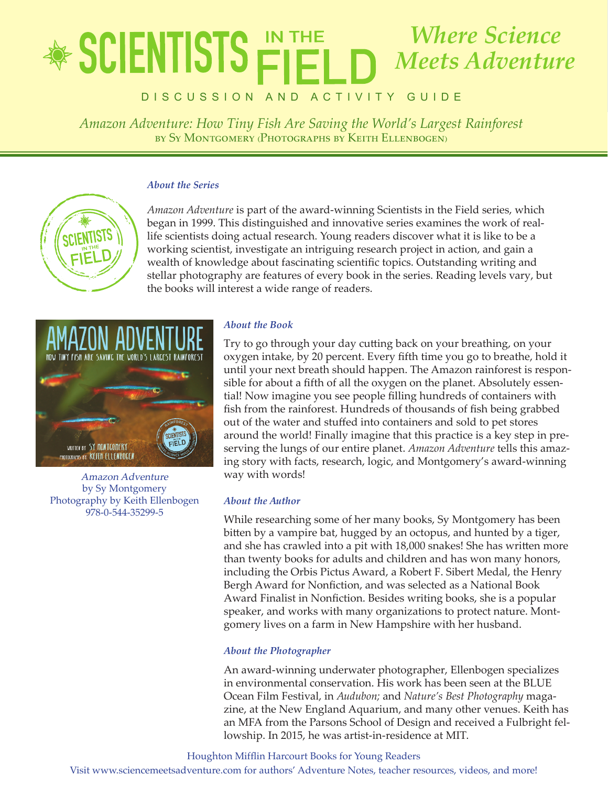# lete in the state of *Amazon Adventure: How Tiny Fish Are Saving the World's Largest Rainforest Where Science Meets Adventure*

*by Sy Montgomery (Photographs by Keith Ellenbogen)* Discussion an d activity Gui d e

*Amazon Adventure: How Tiny Fish Are Saving the World's Largest Rainforest* by Sy Montgomery (Photographs by Keith Ellenbogen)

## *About the Series*



*Amazon Adventure* is part of the award-winning Scientists in the Field series, which began in 1999. This distinguished and innovative series examines the work of reallife scientists doing actual research. Young readers discover what it is like to be a working scientist, investigate an intriguing research project in action, and gain a wealth of knowledge about fascinating scientific topics. Outstanding writing and stellar photography are features of every book in the series. Reading levels vary, but the books will interest a wide range of readers.



Amazon Adventure by Sy Montgomery Photography by Keith Ellenbogen 978-0-544-35299-5

# *About the Book*

Try to go through your day cutting back on your breathing, on your oxygen intake, by 20 percent. Every fifth time you go to breathe, hold it until your next breath should happen. The Amazon rainforest is responsible for about a fifth of all the oxygen on the planet. Absolutely essential! Now imagine you see people filling hundreds of containers with fish from the rainforest. Hundreds of thousands of fish being grabbed out of the water and stuffed into containers and sold to pet stores around the world! Finally imagine that this practice is a key step in preserving the lungs of our entire planet. *Amazon Adventure* tells this amazing story with facts, research, logic, and Montgomery's award-winning way with words!

## *About the Author*

While researching some of her many books, Sy Montgomery has been bitten by a vampire bat, hugged by an octopus, and hunted by a tiger, and she has crawled into a pit with 18,000 snakes! She has written more than twenty books for adults and children and has won many honors, including the Orbis Pictus Award, a Robert F. Sibert Medal, the Henry Bergh Award for Nonfiction, and was selected as a National Book Award Finalist in Nonfiction. Besides writing books, she is a popular speaker, and works with many organizations to protect nature. Montgomery lives on a farm in New Hampshire with her husband.

# *About the Photographer*

An award-winning underwater photographer, Ellenbogen specializes in environmental conservation. His work has been seen at the BLUE Ocean Film Festival, in *Audubon;* and *Nature's Best Photography* magazine, at the New England Aquarium, and many other venues. Keith has an MFA from the Parsons School of Design and received a Fulbright fellowship. In 2015, he was artist-in-residence at MIT.

Houghton Mifflin Harcourt Books for Young Readers

Visit www.sciencemeetsadventure.com for authors' Adventure Notes, teacher resources, videos, and more!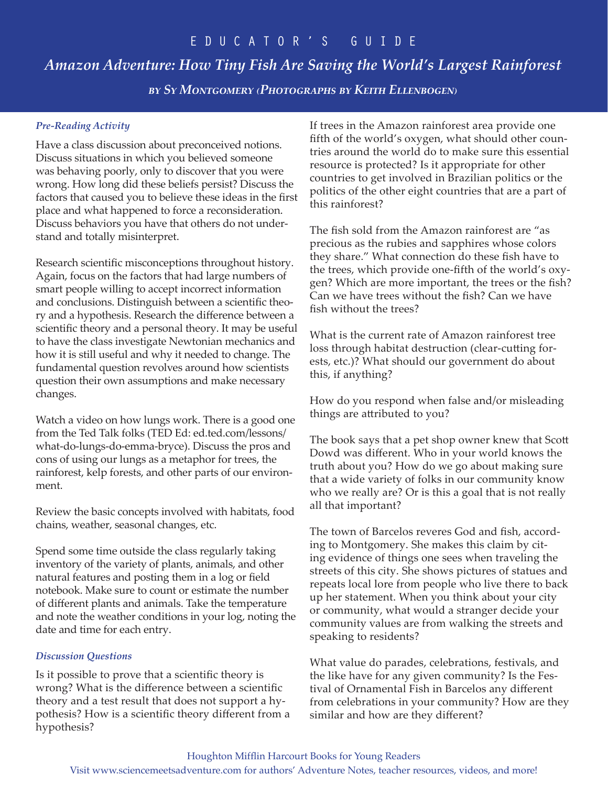# *Amazon Adventure: How Tiny Fish Are Saving the World's Largest Rainforest*

*by Sy Montgomery (Photographs by Keith Ellenbogen)*

# *Pre-Reading Activity*

Have a class discussion about preconceived notions. Discuss situations in which you believed someone was behaving poorly, only to discover that you were wrong. How long did these beliefs persist? Discuss the factors that caused you to believe these ideas in the first place and what happened to force a reconsideration. Discuss behaviors you have that others do not understand and totally misinterpret.

Research scientific misconceptions throughout history. Again, focus on the factors that had large numbers of smart people willing to accept incorrect information and conclusions. Distinguish between a scientific theory and a hypothesis. Research the difference between a scientific theory and a personal theory. It may be useful to have the class investigate Newtonian mechanics and how it is still useful and why it needed to change. The fundamental question revolves around how scientists question their own assumptions and make necessary changes.

Watch a video on how lungs work. There is a good one from the Ted Talk folks (TED Ed: ed.ted.com/lessons/ what-do-lungs-do-emma-bryce). Discuss the pros and cons of using our lungs as a metaphor for trees, the rainforest, kelp forests, and other parts of our environment.

Review the basic concepts involved with habitats, food chains, weather, seasonal changes, etc.

Spend some time outside the class regularly taking inventory of the variety of plants, animals, and other natural features and posting them in a log or field notebook. Make sure to count or estimate the number of different plants and animals. Take the temperature and note the weather conditions in your log, noting the date and time for each entry.

# *Discussion Questions*

Is it possible to prove that a scientific theory is wrong? What is the difference between a scientific theory and a test result that does not support a hypothesis? How is a scientific theory different from a hypothesis?

If trees in the Amazon rainforest area provide one fifth of the world's oxygen, what should other countries around the world do to make sure this essential resource is protected? Is it appropriate for other countries to get involved in Brazilian politics or the politics of the other eight countries that are a part of this rainforest?

The fish sold from the Amazon rainforest are "as precious as the rubies and sapphires whose colors they share." What connection do these fish have to the trees, which provide one-fifth of the world's oxygen? Which are more important, the trees or the fish? Can we have trees without the fish? Can we have fish without the trees?

What is the current rate of Amazon rainforest tree loss through habitat destruction (clear-cutting forests, etc.)? What should our government do about this, if anything?

How do you respond when false and/or misleading things are attributed to you?

The book says that a pet shop owner knew that Scott Dowd was different. Who in your world knows the truth about you? How do we go about making sure that a wide variety of folks in our community know who we really are? Or is this a goal that is not really all that important?

The town of Barcelos reveres God and fish, according to Montgomery. She makes this claim by citing evidence of things one sees when traveling the streets of this city. She shows pictures of statues and repeats local lore from people who live there to back up her statement. When you think about your city or community, what would a stranger decide your community values are from walking the streets and speaking to residents?

What value do parades, celebrations, festivals, and the like have for any given community? Is the Festival of Ornamental Fish in Barcelos any different from celebrations in your community? How are they similar and how are they different?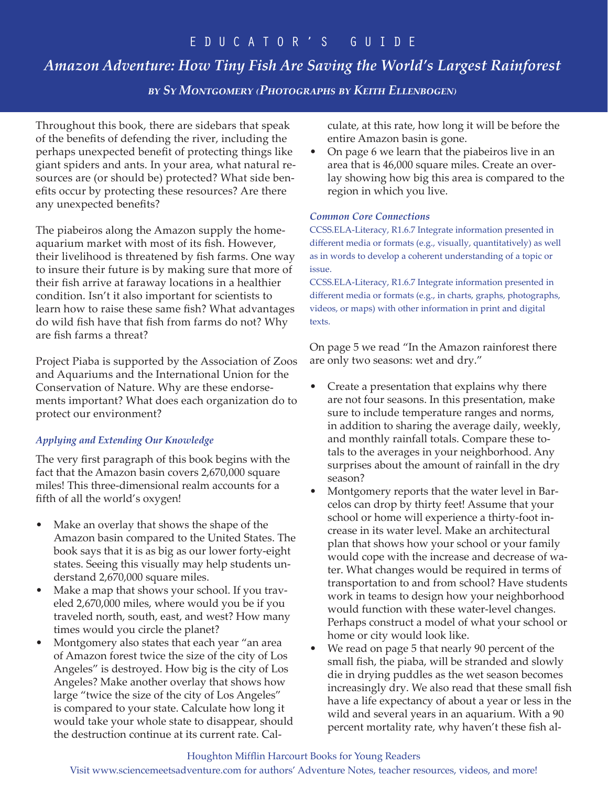# *Amazon Adventure: How Tiny Fish Are Saving the World's Largest Rainforest*

*by Sy Montgomery (Photographs by Keith Ellenbogen)*

Throughout this book, there are sidebars that speak of the benefits of defending the river, including the perhaps unexpected benefit of protecting things like giant spiders and ants. In your area, what natural resources are (or should be) protected? What side benefits occur by protecting these resources? Are there any unexpected benefits?

The piabeiros along the Amazon supply the homeaquarium market with most of its fish. However, their livelihood is threatened by fish farms. One way to insure their future is by making sure that more of their fish arrive at faraway locations in a healthier condition. Isn't it also important for scientists to learn how to raise these same fish? What advantages do wild fish have that fish from farms do not? Why are fish farms a threat?

Project Piaba is supported by the Association of Zoos and Aquariums and the International Union for the Conservation of Nature. Why are these endorsements important? What does each organization do to protect our environment?

# *Applying and Extending Our Knowledge*

The very first paragraph of this book begins with the fact that the Amazon basin covers 2,670,000 square miles! This three-dimensional realm accounts for a fifth of all the world's oxygen!

- Make an overlay that shows the shape of the Amazon basin compared to the United States. The book says that it is as big as our lower forty-eight states. Seeing this visually may help students understand 2,670,000 square miles.
- Make a map that shows your school. If you traveled 2,670,000 miles, where would you be if you traveled north, south, east, and west? How many times would you circle the planet?
- Montgomery also states that each year "an area of Amazon forest twice the size of the city of Los Angeles" is destroyed. How big is the city of Los Angeles? Make another overlay that shows how large "twice the size of the city of Los Angeles" is compared to your state. Calculate how long it would take your whole state to disappear, should the destruction continue at its current rate. Cal-

culate, at this rate, how long it will be before the entire Amazon basin is gone.

• On page 6 we learn that the piabeiros live in an area that is 46,000 square miles. Create an overlay showing how big this area is compared to the region in which you live.

## *Common Core Connections*

CCSS.ELA-Literacy, R1.6.7 Integrate information presented in different media or formats (e.g., visually, quantitatively) as well as in words to develop a coherent understanding of a topic or issue.

CCSS.ELA-Literacy, R1.6.7 Integrate information presented in different media or formats (e.g., in charts, graphs, photographs, videos, or maps) with other information in print and digital texts.

On page 5 we read "In the Amazon rainforest there are only two seasons: wet and dry."

- Create a presentation that explains why there are not four seasons. In this presentation, make sure to include temperature ranges and norms, in addition to sharing the average daily, weekly, and monthly rainfall totals. Compare these totals to the averages in your neighborhood. Any surprises about the amount of rainfall in the dry season?
- Montgomery reports that the water level in Barcelos can drop by thirty feet! Assume that your school or home will experience a thirty-foot increase in its water level. Make an architectural plan that shows how your school or your family would cope with the increase and decrease of water. What changes would be required in terms of transportation to and from school? Have students work in teams to design how your neighborhood would function with these water-level changes. Perhaps construct a model of what your school or home or city would look like.
- We read on page 5 that nearly 90 percent of the small fish, the piaba, will be stranded and slowly die in drying puddles as the wet season becomes increasingly dry. We also read that these small fish have a life expectancy of about a year or less in the wild and several years in an aquarium. With a 90 percent mortality rate, why haven't these fish al-

## Houghton Mifflin Harcourt Books for Young Readers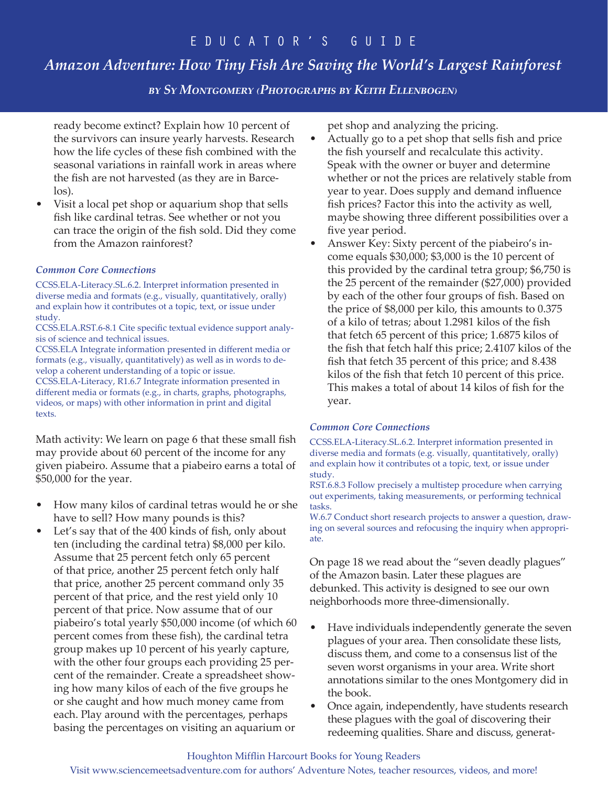# *Amazon Adventure: How Tiny Fish Are Saving the World's Largest Rainforest*

*by Sy Montgomery (Photographs by Keith Ellenbogen)*

ready become extinct? Explain how 10 percent of the survivors can insure yearly harvests. Research how the life cycles of these fish combined with the seasonal variations in rainfall work in areas where the fish are not harvested (as they are in Barcelos).

• Visit a local pet shop or aquarium shop that sells fish like cardinal tetras. See whether or not you can trace the origin of the fish sold. Did they come from the Amazon rainforest?

## *Common Core Connections*

CCSS.ELA-Literacy.SL.6.2. Interpret information presented in diverse media and formats (e.g., visually, quantitatively, orally) and explain how it contributes ot a topic, text, or issue under study.

CCSS.ELA.RST.6-8.1 Cite specific textual evidence support analysis of science and technical issues.

CCSS.ELA Integrate information presented in different media or formats (e.g., visually, quantitatively) as well as in words to develop a coherent understanding of a topic or issue.

CCSS.ELA-Literacy, R1.6.7 Integrate information presented in different media or formats (e.g., in charts, graphs, photographs, videos, or maps) with other information in print and digital texts.

Math activity: We learn on page 6 that these small fish may provide about 60 percent of the income for any given piabeiro. Assume that a piabeiro earns a total of \$50,000 for the year.

- How many kilos of cardinal tetras would he or she have to sell? How many pounds is this?
- Let's say that of the 400 kinds of fish, only about ten (including the cardinal tetra) \$8,000 per kilo. Assume that 25 percent fetch only 65 percent of that price, another 25 percent fetch only half that price, another 25 percent command only 35 percent of that price, and the rest yield only 10 percent of that price. Now assume that of our piabeiro's total yearly \$50,000 income (of which 60 percent comes from these fish), the cardinal tetra group makes up 10 percent of his yearly capture, with the other four groups each providing 25 percent of the remainder. Create a spreadsheet showing how many kilos of each of the five groups he or she caught and how much money came from each. Play around with the percentages, perhaps basing the percentages on visiting an aquarium or

pet shop and analyzing the pricing.

- Actually go to a pet shop that sells fish and price the fish yourself and recalculate this activity. Speak with the owner or buyer and determine whether or not the prices are relatively stable from year to year. Does supply and demand influence fish prices? Factor this into the activity as well, maybe showing three different possibilities over a five year period.
- Answer Key: Sixty percent of the piabeiro's income equals \$30,000; \$3,000 is the 10 percent of this provided by the cardinal tetra group; \$6,750 is the 25 percent of the remainder (\$27,000) provided by each of the other four groups of fish. Based on the price of \$8,000 per kilo, this amounts to 0.375 of a kilo of tetras; about 1.2981 kilos of the fish that fetch 65 percent of this price; 1.6875 kilos of the fish that fetch half this price; 2.4107 kilos of the fish that fetch 35 percent of this price; and 8.438 kilos of the fish that fetch 10 percent of this price. This makes a total of about 14 kilos of fish for the year.

## *Common Core Connections*

CCSS.ELA-Literacy.SL.6.2. Interpret information presented in diverse media and formats (e.g. visually, quantitatively, orally) and explain how it contributes ot a topic, text, or issue under study.

RST.6.8.3 Follow precisely a multistep procedure when carrying out experiments, taking measurements, or performing technical tasks.

W.6.7 Conduct short research projects to answer a question, drawing on several sources and refocusing the inquiry when appropriate.

On page 18 we read about the "seven deadly plagues" of the Amazon basin. Later these plagues are debunked. This activity is designed to see our own neighborhoods more three-dimensionally.

- Have individuals independently generate the seven plagues of your area. Then consolidate these lists, discuss them, and come to a consensus list of the seven worst organisms in your area. Write short annotations similar to the ones Montgomery did in the book.
- Once again, independently, have students research these plagues with the goal of discovering their redeeming qualities. Share and discuss, generat-

## Houghton Mifflin Harcourt Books for Young Readers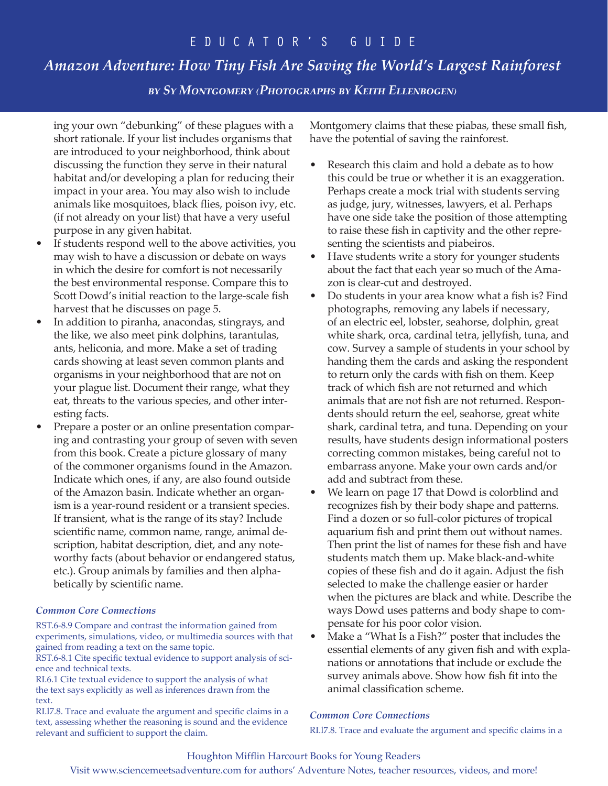# *Amazon Adventure: How Tiny Fish Are Saving the World's Largest Rainforest*

*by Sy Montgomery (Photographs by Keith Ellenbogen)*

ing your own "debunking" of these plagues with a short rationale. If your list includes organisms that are introduced to your neighborhood, think about discussing the function they serve in their natural habitat and/or developing a plan for reducing their impact in your area. You may also wish to include animals like mosquitoes, black flies, poison ivy, etc. (if not already on your list) that have a very useful purpose in any given habitat.

- If students respond well to the above activities, you may wish to have a discussion or debate on ways in which the desire for comfort is not necessarily the best environmental response. Compare this to Scott Dowd's initial reaction to the large-scale fish harvest that he discusses on page 5.
- In addition to piranha, anacondas, stingrays, and the like, we also meet pink dolphins, tarantulas, ants, heliconia, and more. Make a set of trading cards showing at least seven common plants and organisms in your neighborhood that are not on your plague list. Document their range, what they eat, threats to the various species, and other interesting facts.
- Prepare a poster or an online presentation comparing and contrasting your group of seven with seven from this book. Create a picture glossary of many of the commoner organisms found in the Amazon. Indicate which ones, if any, are also found outside of the Amazon basin. Indicate whether an organism is a year-round resident or a transient species. If transient, what is the range of its stay? Include scientific name, common name, range, animal description, habitat description, diet, and any noteworthy facts (about behavior or endangered status, etc.). Group animals by families and then alphabetically by scientific name.

## *Common Core Connections*

RST.6-8.9 Compare and contrast the information gained from experiments, simulations, video, or multimedia sources with that gained from reading a text on the same topic.

RST.6-8.1 Cite specific textual evidence to support analysis of science and technical texts.

RI.6.1 Cite textual evidence to support the analysis of what the text says explicitly as well as inferences drawn from the text.

RI.l7.8. Trace and evaluate the argument and specific claims in a text, assessing whether the reasoning is sound and the evidence relevant and sufficient to support the claim.

Montgomery claims that these piabas, these small fish, have the potential of saving the rainforest.

- Research this claim and hold a debate as to how this could be true or whether it is an exaggeration. Perhaps create a mock trial with students serving as judge, jury, witnesses, lawyers, et al. Perhaps have one side take the position of those attempting to raise these fish in captivity and the other representing the scientists and piabeiros.
- Have students write a story for younger students about the fact that each year so much of the Amazon is clear-cut and destroyed.
- Do students in your area know what a fish is? Find photographs, removing any labels if necessary, of an electric eel, lobster, seahorse, dolphin, great white shark, orca, cardinal tetra, jellyfish, tuna, and cow. Survey a sample of students in your school by handing them the cards and asking the respondent to return only the cards with fish on them. Keep track of which fish are not returned and which animals that are not fish are not returned. Respondents should return the eel, seahorse, great white shark, cardinal tetra, and tuna. Depending on your results, have students design informational posters correcting common mistakes, being careful not to embarrass anyone. Make your own cards and/or add and subtract from these.
- We learn on page 17 that Dowd is colorblind and recognizes fish by their body shape and patterns. Find a dozen or so full-color pictures of tropical aquarium fish and print them out without names. Then print the list of names for these fish and have students match them up. Make black-and-white copies of these fish and do it again. Adjust the fish selected to make the challenge easier or harder when the pictures are black and white. Describe the ways Dowd uses patterns and body shape to compensate for his poor color vision.
- Make a "What Is a Fish?" poster that includes the essential elements of any given fish and with explanations or annotations that include or exclude the survey animals above. Show how fish fit into the animal classification scheme.

#### *Common Core Connections*

RI.l7.8. Trace and evaluate the argument and specific claims in a

# Houghton Mifflin Harcourt Books for Young Readers Visit www.sciencemeetsadventure.com for authors' Adventure Notes, teacher resources, videos, and more!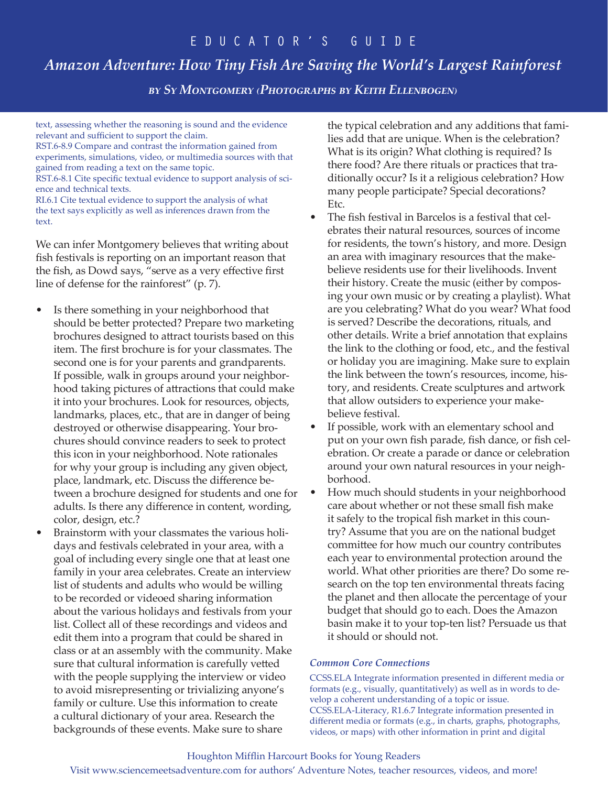# *Amazon Adventure: How Tiny Fish Are Saving the World's Largest Rainforest*

*by Sy Montgomery (Photographs by Keith Ellenbogen)*

text, assessing whether the reasoning is sound and the evidence relevant and sufficient to support the claim.

RST.6-8.9 Compare and contrast the information gained from experiments, simulations, video, or multimedia sources with that gained from reading a text on the same topic.

RST.6-8.1 Cite specific textual evidence to support analysis of science and technical texts.

RI.6.1 Cite textual evidence to support the analysis of what the text says explicitly as well as inferences drawn from the text.

We can infer Montgomery believes that writing about fish festivals is reporting on an important reason that the fish, as Dowd says, "serve as a very effective first line of defense for the rainforest" (p. 7).

- Is there something in your neighborhood that should be better protected? Prepare two marketing brochures designed to attract tourists based on this item. The first brochure is for your classmates. The second one is for your parents and grandparents. If possible, walk in groups around your neighborhood taking pictures of attractions that could make it into your brochures. Look for resources, objects, landmarks, places, etc., that are in danger of being destroyed or otherwise disappearing. Your brochures should convince readers to seek to protect this icon in your neighborhood. Note rationales for why your group is including any given object, place, landmark, etc. Discuss the difference between a brochure designed for students and one for adults. Is there any difference in content, wording, color, design, etc.?
- Brainstorm with your classmates the various holidays and festivals celebrated in your area, with a goal of including every single one that at least one family in your area celebrates. Create an interview list of students and adults who would be willing to be recorded or videoed sharing information about the various holidays and festivals from your list. Collect all of these recordings and videos and edit them into a program that could be shared in class or at an assembly with the community. Make sure that cultural information is carefully vetted with the people supplying the interview or video to avoid misrepresenting or trivializing anyone's family or culture. Use this information to create a cultural dictionary of your area. Research the backgrounds of these events. Make sure to share

the typical celebration and any additions that families add that are unique. When is the celebration? What is its origin? What clothing is required? Is there food? Are there rituals or practices that traditionally occur? Is it a religious celebration? How many people participate? Special decorations? Etc.

- The fish festival in Barcelos is a festival that celebrates their natural resources, sources of income for residents, the town's history, and more. Design an area with imaginary resources that the makebelieve residents use for their livelihoods. Invent their history. Create the music (either by composing your own music or by creating a playlist). What are you celebrating? What do you wear? What food is served? Describe the decorations, rituals, and other details. Write a brief annotation that explains the link to the clothing or food, etc., and the festival or holiday you are imagining. Make sure to explain the link between the town's resources, income, history, and residents. Create sculptures and artwork that allow outsiders to experience your makebelieve festival.
- If possible, work with an elementary school and put on your own fish parade, fish dance, or fish celebration. Or create a parade or dance or celebration around your own natural resources in your neighborhood.
- How much should students in your neighborhood care about whether or not these small fish make it safely to the tropical fish market in this country? Assume that you are on the national budget committee for how much our country contributes each year to environmental protection around the world. What other priorities are there? Do some research on the top ten environmental threats facing the planet and then allocate the percentage of your budget that should go to each. Does the Amazon basin make it to your top-ten list? Persuade us that it should or should not.

#### *Common Core Connections*

CCSS.ELA Integrate information presented in different media or formats (e.g., visually, quantitatively) as well as in words to develop a coherent understanding of a topic or issue. CCSS.ELA-Literacy, R1.6.7 Integrate information presented in different media or formats (e.g., in charts, graphs, photographs, videos, or maps) with other information in print and digital

#### Houghton Mifflin Harcourt Books for Young Readers

Visit www.sciencemeetsadventure.com for authors' Adventure Notes, teacher resources, videos, and more!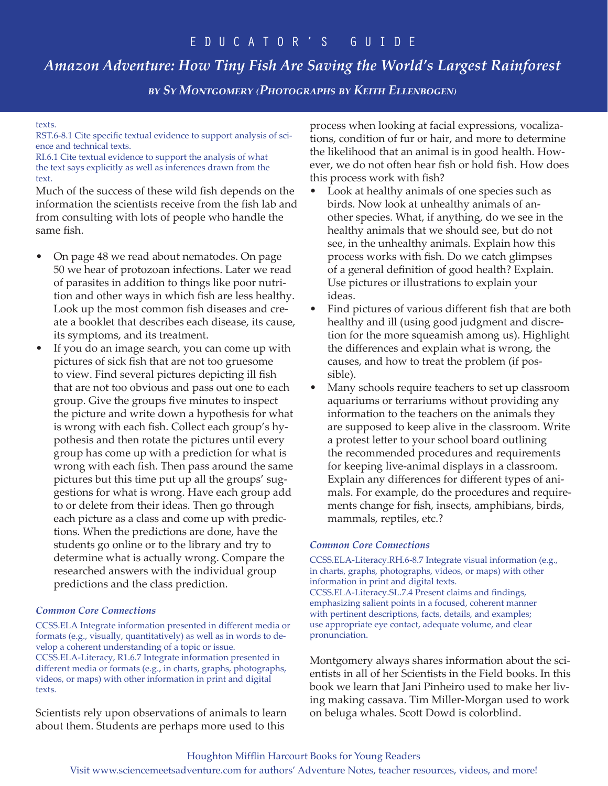# *Amazon Adventure: How Tiny Fish Are Saving the World's Largest Rainforest*

*by Sy Montgomery (Photographs by Keith Ellenbogen)*

#### texts.

RST.6-8.1 Cite specific textual evidence to support analysis of science and technical texts.

RI.6.1 Cite textual evidence to support the analysis of what the text says explicitly as well as inferences drawn from the text.

Much of the success of these wild fish depends on the information the scientists receive from the fish lab and from consulting with lots of people who handle the same fish.

- On page 48 we read about nematodes. On page 50 we hear of protozoan infections. Later we read of parasites in addition to things like poor nutrition and other ways in which fish are less healthy. Look up the most common fish diseases and create a booklet that describes each disease, its cause, its symptoms, and its treatment.
- If you do an image search, you can come up with pictures of sick fish that are not too gruesome to view. Find several pictures depicting ill fish that are not too obvious and pass out one to each group. Give the groups five minutes to inspect the picture and write down a hypothesis for what is wrong with each fish. Collect each group's hypothesis and then rotate the pictures until every group has come up with a prediction for what is wrong with each fish. Then pass around the same pictures but this time put up all the groups' suggestions for what is wrong. Have each group add to or delete from their ideas. Then go through each picture as a class and come up with predictions. When the predictions are done, have the students go online or to the library and try to determine what is actually wrong. Compare the researched answers with the individual group predictions and the class prediction.

#### *Common Core Connections*

CCSS.ELA Integrate information presented in different media or formats (e.g., visually, quantitatively) as well as in words to develop a coherent understanding of a topic or issue. CCSS.ELA-Literacy, R1.6.7 Integrate information presented in different media or formats (e.g., in charts, graphs, photographs, videos, or maps) with other information in print and digital texts.

Scientists rely upon observations of animals to learn about them. Students are perhaps more used to this

process when looking at facial expressions, vocalizations, condition of fur or hair, and more to determine the likelihood that an animal is in good health. However, we do not often hear fish or hold fish. How does this process work with fish?

- Look at healthy animals of one species such as birds. Now look at unhealthy animals of another species. What, if anything, do we see in the healthy animals that we should see, but do not see, in the unhealthy animals. Explain how this process works with fish. Do we catch glimpses of a general definition of good health? Explain. Use pictures or illustrations to explain your ideas.
- Find pictures of various different fish that are both healthy and ill (using good judgment and discretion for the more squeamish among us). Highlight the differences and explain what is wrong, the causes, and how to treat the problem (if possible).
- Many schools require teachers to set up classroom aquariums or terrariums without providing any information to the teachers on the animals they are supposed to keep alive in the classroom. Write a protest letter to your school board outlining the recommended procedures and requirements for keeping live-animal displays in a classroom. Explain any differences for different types of animals. For example, do the procedures and requirements change for fish, insects, amphibians, birds, mammals, reptiles, etc.?

#### *Common Core Connections*

CCSS.ELA-Literacy.RH.6-8.7 Integrate visual information (e.g., in charts, graphs, photographs, videos, or maps) with other information in print and digital texts. CCSS.ELA-Literacy.SL.7.4 Present claims and findings, emphasizing salient points in a focused, coherent manner with pertinent descriptions, facts, details, and examples; use appropriate eye contact, adequate volume, and clear pronunciation.

Montgomery always shares information about the scientists in all of her Scientists in the Field books. In this book we learn that Jani Pinheiro used to make her living making cassava. Tim Miller-Morgan used to work on beluga whales. Scott Dowd is colorblind.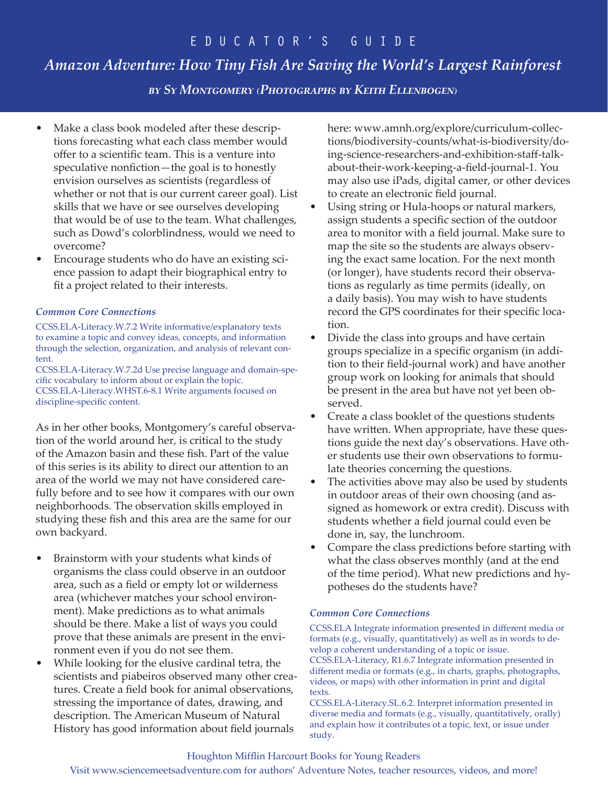# *Amazon Adventure: How Tiny Fish Are Saving the World's Largest Rainforest*

*by Sy Montgomery (Photographs by Keith Ellenbogen)*

- Make a class book modeled after these descriptions forecasting what each class member would offer to a scientific team. This is a venture into speculative nonfiction—the goal is to honestly envision ourselves as scientists (regardless of whether or not that is our current career goal). List skills that we have or see ourselves developing that would be of use to the team. What challenges, such as Dowd's colorblindness, would we need to overcome?
- Encourage students who do have an existing science passion to adapt their biographical entry to fit a project related to their interests.

## *Common Core Connections*

CCSS.ELA-Literacy.W.7.2 Write informative/explanatory texts to examine a topic and convey ideas, concepts, and information through the selection, organization, and analysis of relevant content.

CCSS.ELA-Literacy.W.7.2d Use precise language and domain-specific vocabulary to inform about or explain the topic. CCSS.ELA-Literacy.WHST.6-8.1 Write arguments focused on discipline-specific content.

As in her other books, Montgomery's careful observation of the world around her, is critical to the study of the Amazon basin and these fish. Part of the value of this series is its ability to direct our attention to an area of the world we may not have considered carefully before and to see how it compares with our own neighborhoods. The observation skills employed in studying these fish and this area are the same for our own backyard.

- Brainstorm with your students what kinds of organisms the class could observe in an outdoor area, such as a field or empty lot or wilderness area (whichever matches your school environment). Make predictions as to what animals should be there. Make a list of ways you could prove that these animals are present in the environment even if you do not see them.
- While looking for the elusive cardinal tetra, the scientists and piabeiros observed many other creatures. Create a field book for animal observations, stressing the importance of dates, drawing, and description. The American Museum of Natural History has good information about field journals

here: www.amnh.org/explore/curriculum-collections/biodiversity-counts/what-is-biodiversity/doing-science-researchers-and-exhibition-staff-talkabout-their-work-keeping-a-field-journal-1. You may also use iPads, digital camer, or other devices to create an electronic field journal.

- Using string or Hula-hoops or natural markers, assign students a specific section of the outdoor area to monitor with a field journal. Make sure to map the site so the students are always observing the exact same location. For the next month (or longer), have students record their observations as regularly as time permits (ideally, on a daily basis). You may wish to have students record the GPS coordinates for their specific location.
- Divide the class into groups and have certain groups specialize in a specific organism (in addition to their field-journal work) and have another group work on looking for animals that should be present in the area but have not yet been observed.
- Create a class booklet of the questions students have written. When appropriate, have these questions guide the next day's observations. Have other students use their own observations to formulate theories concerning the questions.
- The activities above may also be used by students in outdoor areas of their own choosing (and assigned as homework or extra credit). Discuss with students whether a field journal could even be done in, say, the lunchroom.
- Compare the class predictions before starting with what the class observes monthly (and at the end of the time period). What new predictions and hypotheses do the students have?

## *Common Core Connections*

CCSS.ELA Integrate information presented in different media or formats (e.g., visually, quantitatively) as well as in words to develop a coherent understanding of a topic or issue. CCSS.ELA-Literacy, R1.6.7 Integrate information presented in different media or formats (e.g., in charts, graphs, photographs, videos, or maps) with other information in print and digital texts.

CCSS.ELA-Literacy.SL.6.2. Interpret information presented in diverse media and formats (e.g., visually, quantitatively, orally) and explain how it contributes ot a topic, text, or issue under study.

# Houghton Mifflin Harcourt Books for Young Readers

Visit www.sciencemeetsadventure.com for authors' Adventure Notes, teacher resources, videos, and more!